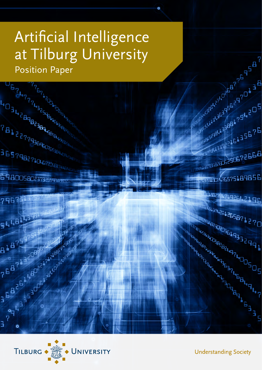# Artificial Intelligence at Tilburg University

**POSTAGE AND BOOM ASSESSMENT POLICY POSTAGE AND RESIDENCE POLICY POLICY POLICY POLICY POLICY POLICY POLICY POLICY POLICY POLICY POLICY POLICY POLICY POLICY POLICY POLICY POLICY POLICY POLICY POLICY POLICY POLICY POLICY POL** Position Paper**PARTICLE AND DESCRIPTION ASSESSMENT PROPERTY AND DESCRIPTION ASSESSMENT PROPERTY PROPERTY PROPERTY PROPERTY PROPERTY ASSESSMENT PROPERTY PROPERTY PROPERTY PROPERTY ASSESSMENT PROPERTY PROPERTY PROPERTY PROPERTY PROPERTY P** Aspendix 13432216135675 THE PACTURE ONESALE PERSONAL PROPERTY ASSESSMENT PROPERTY AND RELATIONSHEAD PROPERTY ASSESSMENT PROPERTY ASSESSMENT PROPERTY ASSESSMENT PROPERTY ASSESSMENT PROPERTY ASSESSMENT PROPERTY ASSESSMENT PROPERTY ASSESSMENT PROPER  $\begin{picture}(180,10) \put(0,0){\line(1,0){15}} \put(0,0){\line(1,0){15}} \put(0,0){\line(1,0){15}} \put(0,0){\line(1,0){15}} \put(0,0){\line(1,0){15}} \put(0,0){\line(1,0){15}} \put(0,0){\line(1,0){15}} \put(0,0){\line(1,0){15}} \put(0,0){\line(1,0){15}} \put(0,0){\line(1,0){15}} \put(0,0){\line(1,0){15}} \put(0,0){\line(1,0){15}} \put(0$ **36979827106720801 REPORT OF PRIMER PRIMER** 698005802373259em 6575189856 **HANO** <sup>₽</sup><del>Ŀ₽</del>₽?N?L926L2196 7967 **BABLIC REGISTER**  $5448$ 418759 ALARE ARCHIVES H A B P A R A PARTICULAR AND R A R A PARTICULAR AND R A PARTICULAR AND R A PARTICULAR AND R A PARTICULAR AND R<br>P A B P A R A PARTICULAR AND R A PARTICULAR AND R A PARTICULAR AND R A PARTICULAR AND RESIDENCE OF A PARTICULAR 



**Understanding Society**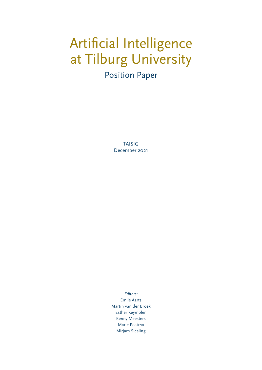### Artificial Intelligence at Tilburg University Position Paper

TAISIG December 2021

*Editors:* Emile Aarts Martin van der Broek Esther Keymolen Kenny Meesters Marie Postma Mirjam Siesling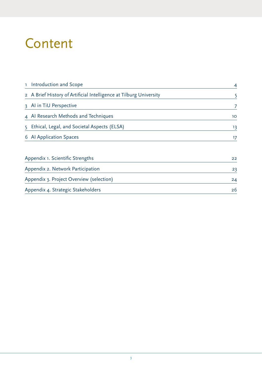### **Content**

| Introduction and Scope<br>T.                                       | $\overline{4}$ |  |
|--------------------------------------------------------------------|----------------|--|
| 2 A Brief History of Artificial Intelligence at Tilburg University | 5              |  |
| 3 Al in TiU Perspective                                            | 7              |  |
| 4 Al Research Methods and Techniques                               | 10             |  |
| 5 Ethical, Legal, and Societal Aspects (ELSA)                      | 13             |  |
| 6 Al Application Spaces                                            | 17             |  |
| Appendix 1. Scientific Strengths                                   | 22             |  |
| Appendix 2. Network Participation                                  | 23             |  |
| Appendix 3. Project Overview (selection)                           | 24             |  |
| Appendix 4. Strategic Stakeholders                                 | 26             |  |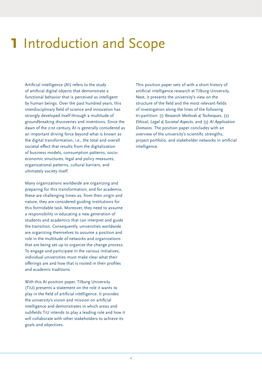### <span id="page-3-0"></span>**1** Introduction and Scope

Artificial intelligence (AI) refers to the study of artificial digital objects that demonstrate a functional behavior that is perceived as intelligent by human beings. Over the past hundred years, this interdisciplinary field of science and innovation has strongly developed itself through a multitude of groundbreaking discoveries and inventions. Since the dawn of the 21st century, AI is generally considered as an important driving force beyond what is known as the digital transformation, i.e., the total and overall societal effect that results from the digitalization of business models, consumption patterns, socioeconomic structures, legal and policy measures, organizational patterns, cultural barriers, and ultimately society itself.

Many organizations worldwide are organizing and preparing for this transformation, and for academia, these are challenging times as, from their origin and nature, they are considered guiding institutions for this formidable task. Moreover, they need to assume a responsibility in educating a new generation of students and academics that can interpret and guide the transition. Consequently, universities worldwide are organizing themselves to assume a position and role in the multitude of networks and organizations that are being set up to organize the change process. To engage and participate in the various initiatives, individual universities must make clear what their offerings are and how that is rooted in their profiles and academic traditions.

With this AI position paper, Tilburg University (TiU) presents a statement on the role it wants to play in the field of artificial intelligence. It provides the university's vision and mission on artificial intelligence and demonstrates in which areas and subfields TiU intends to play a leading role and how it will collaborate with other stakeholders to achieve its goals and objectives.

This position paper sets of with a short history of artificial intelligence research at Tilburg University. Next, it presents the university's view on the structure of the field and the most relevant fields of investigation along the lines of the following tri-partition: (i) *Research Methods & Techniques*, (2) *Ethical, Legal & Societal Aspects*, and (3) *AI Application Domains.* The position paper concludes with an overview of the university's scientific strengths, project portfolio, and stakeholder networks in artificial intelligence.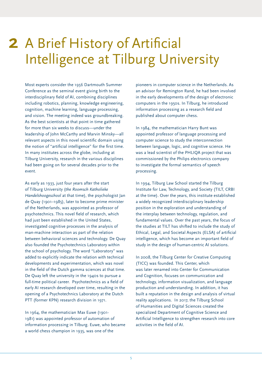## <span id="page-4-0"></span>2 A Brief History of Artificial Intelligence at Tilburg University

Most experts consider the 1956 Dartmouth Summer Conference as the seminal event giving birth to the interdisciplinary field of AI, combining disciplines including robotics, planning, knowledge engineering, cognition, machine learning, language processing, and vision. The meeting indeed was groundbreaking. As the best scientists at that point in time gathered for more than six weeks to discuss—under the leadership of John McCarthy and Marvin Minsky—all relevant aspects in this novel scientific domain using the notion of "artificial intelligence" for the first time. In many institutes across the globe, including at Tilburg University, research in the various disciplines had been going on for several decades prior to the event.

As early as 1933, just four years after the start of Tilburg University (*the Roomsch Katholieke Handelshoogeschool* at that time), the psychologist Jan de Quay (1901–1985), later to become prime minister of the Netherlands, was appointed as professor of psychotechnics. This novel field of research, which had just been established in the United States, investigated cognitive processes in the analysis of man-machine interaction as part of the relation between behavioral sciences and technology. De Quay also founded the Psychotechnics Laboratory within the school of psychology. The word "Laboratory" was added to explicitly indicate the relation with technical developments and experimentation, which was novel in the field of the Dutch gamma sciences at that time. De Quay left the university in the 1940s to pursue a full-time political career. Psychotechnics as a field of early AI research developed over time, resulting in the opening of a Psychotechnics Laboratory at the Dutch PTT (former KPN) research division in 1971.

In 1964, the mathematician Max Euwe (1901- 1981) was appointed professor of automation of information processing in Tilburg. Euwe, who became a world chess champion in 1935, was one of the

pioneers in computer science in the Netherlands. As an advisor for Remington Rand, he had been involved in the early developments of the design of electronic computers in the 1950s. In Tilburg, he introduced information processing as a research field and published about computer chess.

In 1984, the mathematician Harry Bunt was appointed professor of language processing and computer science to study the interconnection between language, logic, and cognitive science. He was a lead scientist of the PHLIQA project that was commissioned by the Philips electronics company to investigate the formal semantics of speech processing.

In 1994, Tilburg Law School started the Tilburg Institute for Law, Technology, and Society (TILT, CRBI at the time). Over the years, this institute established a widely recognized interdisciplinary leadership position in the exploration and understanding of the interplay between technology, regulation, and fundamental values. Over the past years, the focus of the studies at TILT has shifted to include the study of Ethical, Legal, and Societal Aspects (ELSA) of artificial intelligence, which has become an important field of study in the design of human-centric AI solutions.

In 2008, the Tilburg Center for Creative Computing (TICC) was founded. This Center, which was later renamed into Center for Communication and Cognition, focuses on communication and technology, information visualization, and language production and understanding. In addition, it has built a reputation in the design and analysis of virtual reality applications. In 2017, the Tilburg School of Humanities and Digital Sciences created the specialized Department of Cognitive Science and Artificial Intelligence to strengthen research into core activities in the field of AI.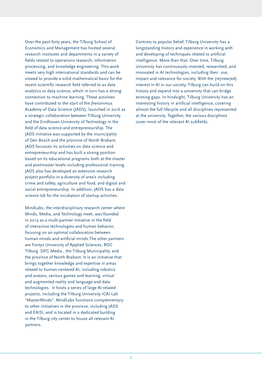Over the past forty years, the Tilburg School of Economics and Management has hosted several research institutes and departments in a variety of fields related to operations research, information processing, and knowledge engineering. This work meets very high international standards and can be viewed to provide a solid mathematical basis for the recent scientific research field referred to as data analytics or data science, which in turn has a strong connection to machine learning. These activities have contributed to the start of the Jheronimus Academy of Data Science (JADS), launched in 2016 as a strategic collaboration between Tilburg University and the Eindhoven University of Technology in the field of data science and entrepreneurship. The JADS initiative was supported by the municipality of Den Bosch and the province of North Brabant. JADS focusses its activities on data science and entrepreneurship and has built a strong position based on its educational programs both at the master and postmaster levels including professional training. JADS also has developed an extensive research project portfolio in a diversity of area's including crime and safety, agriculture and food, and digital and social entrepreneurship. In addition, JADS has a data science lab for the incubation of startup activities.

MindLabs, the interdisciplinary research center where Minds, Media, and Technology meet, was founded in 2019 as a multi-partner initiative in the field of interactive technologies and human behavior, focusing on an optimal collaboration between human minds and artificial minds.The other partners are Fontys University of Applied Sciences, ROC Tilburg DPG Media , the Tilburg Municipality, and the province of North Brabant. It is an initiative that brings together knowledge and expertise in areas related to human-centered AI, including robotics and avatars, serious games and learning, virtual and augmented reality and language and data technologies. It hosts a series of large AI-related projects, including the Tilburg University ICAI Lab "MasterMinds". MindLabs functions complementary to other initiatives in the province, including JADS and EAISI, and is located in a dedicated building in the Tilburg city center to house all relevant AI partners.

Contrary to popular belief, Tilburg University has a longstanding history and experience in working with and developing of techniques related to artificial intelligence. More than that. Over time, Tilburg University has continuously invested, researched, and innovated in AI technologies, including their use, impact and relevance for society. With the (re)new(ed) interest in AI in our society, Tilburg can build on this history and expand into a university that can bridge existing gaps. In hindsight, Tilburg University has an interesting history in artificial intelligence, covering almost the full lifecycle and all disciplines represented at the university. Together, the various disciplines cover most of the relevant AI subfields.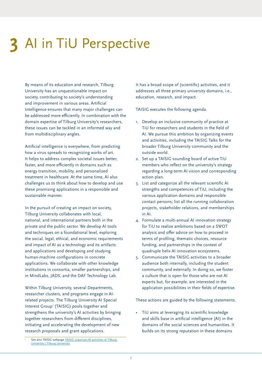## <span id="page-6-0"></span>**3** AI in TiU Perspective

By means of its education and research, Tilburg University has an unquestionable impact on society, contributing to society's understanding and improvement in various areas. Artificial Intelligence ensures that many major challenges can be addressed more efficiently. In combination with the domain expertise of Tilburg University's researchers, these issues can be tackled in an informed way and from multidisciplinary angles.

Artificial intelligence is everywhere, from predicting how a virus spreads to recognizing works of art. It helps to address complex societal issues better, faster, and more efficiently in domains such as energy transition, mobility, and personalized treatment in healthcare. At the same time, AI also challenges us to think about how to develop and use these promising applications in a responsible and sustainable manner.

In the pursuit of creating an impact on society, Tilburg University collaborates with local, national, and international partners both in the private and the public sector. We develop AI tools and techniques on a foundational level, exploring the social, legal, ethical, and economic requirements and impact of AI as a technology and its artifacts and applications and developing and studying human-machine configurations in concrete applications. We collaborate with other knowledge institutions in consortia, smaller partnerships, and in MindLabs, JADS, and the DAF Technology Lab.

Within Tilburg University, several Departments, researcher clusters, and programs engage in AIrelated projects. The Tilburg University AI Special Interest Group<sup>1</sup> (TAISIG) pools together and strengthens the university's AI activities by bringing together researchers from different disciplines, initiating and accelerating the development of new research proposals and grant applications.

It has a broad scope of (scientific) activities, and it addresses all three primary university domains, i.e., education, research, and impact.

TAISIG executes the following agenda.

- 1. Develop an inclusive community of practice at TiU for researchers and students in the field of AI. We pursue this ambition by organizing events and activities, including the TAISIG Talks for the broader Tilburg University community and the outside world.
- 2. Set up a TAISIG sounding board of active TiU members who reflect on the university's strategy regarding a long-term AI vision and corresponding action plan.
- 3. List and categorize all the relevant scientific AI strengths and competences of TiU, including the various application domains and responsible contact persons; list all the running collaboration projects, stakeholder relations, and memberships in AI.
- 4. Formulate a multi-annual AI innovation strategy for TiU to realize ambitions based on a SWOT analysis and offer advice on how to proceed in terms of profiling, thematic choices, resource funding, and partnerships in the context of quadruple helix AI innovation ecosystems.
- 5. Communicate the TAISIG activities to a broader audience both internally, including the student community, and externally. In doing so, we foster a culture that is open for those who are not AI experts but, for example, are interested in the application possibilities in their fields of expertise.

These actions are guided by the following statements.

• TiU aims at leveraging its scientific knowledge and skills base in artificial intelligence (AI) in the domains of the social sciences and humanities. It builds on its strong reputation in these domains

<sup>1</sup> See also TAISIG webpage [TAISIG organises AI activities at Tilburg](https://www.tilburguniversity.edu/research/institutes-and-research-groups/taisig)  [University | Tilburg University](https://www.tilburguniversity.edu/research/institutes-and-research-groups/taisig)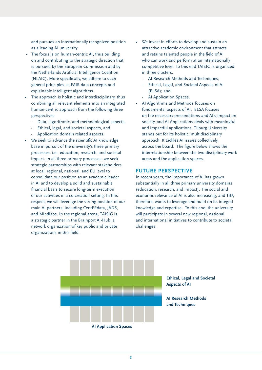and pursues an internationally recognized position as a leading AI university.

- The focus is on human-centric AI, thus building on and contributing to the strategic direction that is pursued by the European Commission and by the Netherlands Artificial Intelligence Coalition (NLAIC). More specifically, we adhere to such general principles as FAIR data concepts and explainable intelligent algorithms.
- The approach is holistic and interdisciplinary, thus combining all relevant elements into an integrated human-centric approach from the following three perspectives:
	- Data, algorithmic, and methodological aspects,
	- Ethical, legal, and societal aspects, and
	- Application domain related aspects.
- We seek to advance the scientific AI knowledge base in pursuit of the university's three primary processes, i.e., education, research, and societal impact. In all three primary processes, we seek strategic partnerships with relevant stakeholders at local, regional, national, and EU level to consolidate our position as an academic leader in AI and to develop a solid and sustainable financial basis to secure long-term execution of our activities in a co-creation setting. In this respect, we will leverage the strong position of our main AI partners, including CentERdata, JADS, and Mindlabs. In the regional arena, TAISIG is a strategic partner in the Brainport AI-Hub, a network organization of key public and private organizations in this field.
- We invest in efforts to develop and sustain an attractive academic environment that attracts and retains talented people in the field of AI who can work and perform at an internationally competitive level. To this end TAISIG is organized in three clusters.
	- AI Research Methods and Techniques;
	- Ethical, Legal, and Societal Aspects of AI (ELSA); and
	- AI Application Spaces.
- AI Algorithms and Methods focuses on fundamental aspects of AI, ELSA focuses on the necessary preconditions and AI's impact on society, and AI Applications deals with meaningful and impactful applications. Tilburg University stands out for its holistic, multidisciplinary approach. It tackles AI issues collectively, across the board. The figure below shows the interrelationship between the two disciplinary work areas and the application spaces.

#### **FUTURE PERSPECTIVE**

In recent years, the importance of AI has grown substantially in all three primary university domains (education, research, and impact). The social and economic relevance of AI is also increasing, and TiU, therefore, wants to leverage and build on its integral knowledge and expertise. To this end, the university will participate in several new regional, national, and international initiatives to contribute to societal challenges.



**Ethical, Legal and Societal Aspects of AI**

**AI Research Methods and Techniques**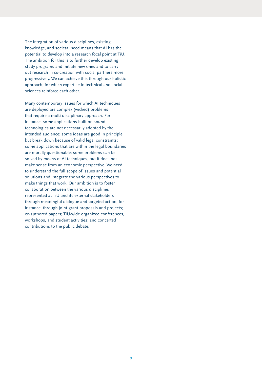The integration of various disciplines, existing knowledge, and societal need means that AI has the potential to develop into a research focal point at TiU. The ambition for this is to further develop existing study programs and initiate new ones and to carry out research in co-creation with social partners more progressively. We can achieve this through our holistic approach, for which expertise in technical and social sciences reinforce each other.

Many contemporary issues for which AI techniques are deployed are complex (wicked) problems that require a multi-disciplinary approach. For instance, some applications built on sound technologies are not necessarily adopted by the intended audience; some ideas are good in principle but break down because of valid legal constraints; some applications that are within the legal boundaries are morally questionable; some problems can be solved by means of AI techniques, but it does not make sense from an economic perspective. We need to understand the full scope of issues and potential solutions and integrate the various perspectives to make things that work. Our ambition is to foster collaboration between the various disciplines represented at TiU and its external stakeholders through meaningful dialogue and targeted action, for instance, through joint grant proposals and projects; co-authored papers; TiU-wide organized conferences, workshops, and student activities; and concerted contributions to the public debate.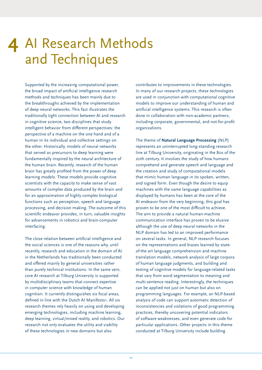## <span id="page-9-0"></span>4 Al Research Methods and Techniques

Supported by the increasing computational power, the broad impact of artificial intelligence research methods and techniques has been mainly due to the breakthroughs achieved by the implementation of deep neural networks. This fact illustrates the traditionally tight connection between AI and research in cognitive science, two disciplines that study intelligent behavior from different perspectives: the perspective of a machine on the one hand and of a human in its individual and collective settings on the other. Historically, models of neural networks that served as precursors to deep learning were fundamentally inspired by the neural architecture of the human brain. Recently, research of the human brain has greatly profited from the power of deep learning models. These models provide cognitive scientists with the capacity to make sense of vast amounts of complex data produced by the brain and for an approximation of highly complex biological functions such as perception, speech and language processing, and decision making. The outcome of this scientific endeavor provides, in turn, valuable insights for advancements in robotics and brain-computer interfacing.

The close relation between artificial intelligence and the social sciences is one of the reasons why, until recently, research and education in the domain of AI in the Netherlands has traditionally been conducted and offered mainly by general universities rather than purely technical institutions. In the same vein, core AI research at Tilburg University is supported by multidisciplinary teams that connect expertise in computer science with knowledge of human cognition. It currently distinguishes six focal areas, defined in line with the Dutch AI Manifesto1. All six research themes rely heavily on using and developing emerging technologies, including machine learning, deep learning, virtual/mixed reality, and robotics. Our research not only evaluates the utility and viability of these technologies in new domains but also

contributes to improvements in these technologies. In many of our research projects, these technologies are used in conjunction with computational cognitive models to improve our understanding of human and artificial intelligence systems. This research is often done in collaboration with non-academic partners, including corporate, governmental, and not-for-profit organizations.

The theme of **Natural Language Processing** (NLP) represents an uninterrupted long-standing research line at Tilburg University, originating in the 80s of the 20th century. It involves the study of how humans comprehend and generate speech and language and the creation and study of computational models that mimic human language in its spoken, written, and signed form. Even though the desire to equip machines with the same language capabilities as displayed by humans has been at the core of the AI endeavor from the very beginning, this goal has proven to be one of the most difficult to achieve. The aim to provide a natural human-machine communication interface has proven to be elusive although the use of deep neural networks in the NLP domain has led to an improved performance on several tasks. In general, NLP research focuses on the representations and biases learned by stateof-the art language comprehension and machine translation models, network analysis of large corpora of human language judgments, and building and testing of cognitive models for language-related tasks that vary from word segmentation to meaning and multi-sentence reading. Interestingly, the techniques can be applied not just on human but also on programming languages. For example, an NLP-based analysis of code can support automatic detection of inconsistencies and violations of good programming practices, thereby uncovering potential indicators of software weaknesses, and even generate code for particular applications. Other projects in this theme conducted at Tilburg University include building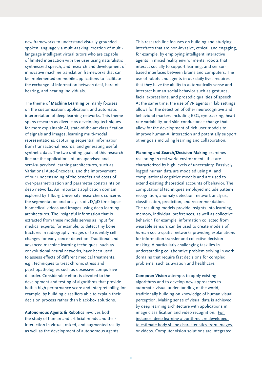new frameworks to understand visually grounded spoken language via multi-tasking, creation of multilanguage intelligent virtual tutors who are capable of limited interaction with the user using naturalistic synthesized speech, and research and development of innovative machine translation frameworks that can be implemented on mobile applications to facilitate the exchange of information between deaf, hard of hearing, and hearing individuals.

The theme of **Machine Learning** primarily focuses on the customization, application, and automatic interpretation of deep learning networks. This theme spans research as diverse as developing techniques for more explainable AI, state-of-the-art classification of signals and images, learning multi-modal representations, capturing sequential information from transactional records, and generating useful synthetic data. The two uniting goals of this research line are the applications of unsupervised and semi-supervised learning architectures, such as Variational Auto-Encoders, and the improvement of our understanding of the benefits and costs of over-parametrization and parameter constraints on deep networks. An important application domain explored by Tilburg University researchers concerns the segmentation and analysis of 2D/3D time-lapse biomedical videos and images using deep learning architectures. The insightful information that is extracted from these models serves as input for medical experts, for example, to detect tiny bone fractures in radiography images or to identify cell changes for early cancer detection. Traditional and advanced machine learning techniques, such as convolutional neural networks, have been used to assess effects of different medical treatments, e.g., techniques to treat chronic stress and psychopathologies such as obsessive-compulsive disorder. Considerable effort is devoted to the development and testing of algorithms that provide both a high performance score and interpretability, for example, by building classifiers able to explain their decision process rather than black-box solutions.

**Autonomous Agents & Robotics** involves both the study of human and artificial minds and their interaction in virtual, mixed, and augmented reality as well as the development of autonomous agents.

This research line focuses on building and studying interfaces that are non-invasive, ethical, and engaging, for example, by employing intelligent interactive agents in mixed reality environments, robots that interact socially to support learning, and sensorbased interfaces between brains and computers. The use of robots and agents in our daily lives requires that they have the ability to automatically sense and interpret human social behavior such as gestures, facial expressions, and prosodic qualities of speech. At the same time, the use of VR agents in lab settings allows for the detection of other neurocognitive and behavioral markers including EEG, eye tracking, heart rate variability, and skin conductance change that allow for the development of rich user models to improve human-AI interaction and potentially support other goals including learning and collaboration.

**Planning and Search/Decision Making** examines reasoning in real-world environments that are characterized by high levels of uncertainty. Passively logged human data are modeled using AI and computational cognitive models and are used to extend existing theoretical accounts of behavior. The computational techniques employed include pattern recognition, anomaly detection, network analysis, classification, prediction, and recommendation. The resulting models provide insights into learning, memory, individual preferences, as well as collective behavior. For example, information collected from wearable sensors can be used to create models of human socio-spatial networks providing explanations for information transfer and collective decision making. A particularly challenging task lies in understanding collaborative problem solving in work domains that require fast decisions for complex problems, such as aviation and healthcare.

**Computer Vision** attempts to apply existing algorithms and to develop new approaches to automatic visual understanding of the world, traditionally building on knowledge of human visual perception. Making sense of visual data is achieved by deep learning architecture with applications in image classification and video recognition. For instance, deep learning algorithms are developed to estimate body shape characteristics from images or videos. Computer vision solutions are integrated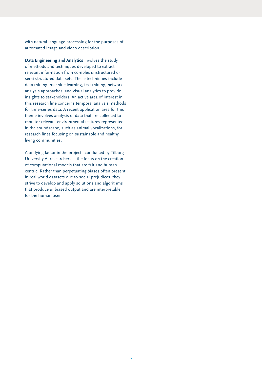with natural language processing for the purposes of automated image and video description.

**Data Engineering and Analytics** involves the study of methods and techniques developed to extract relevant information from complex unstructured or semi-structured data sets. These techniques include data mining, machine learning, text mining, network analysis approaches, and visual analytics to provide insights to stakeholders. An active area of interest in this research line concerns temporal analysis methods for time-series data. A recent application area for this theme involves analysis of data that are collected to monitor relevant environmental features represented in the soundscape, such as animal vocalizations, for research lines focusing on sustainable and healthy living communities.

A unifying factor in the projects conducted by Tilburg University AI researchers is the focus on the creation of computational models that are fair and human centric. Rather than perpetuating biases often present in real world datasets due to social prejudices, they strive to develop and apply solutions and algorithms that produce unbiased output and are interpretable for the human user.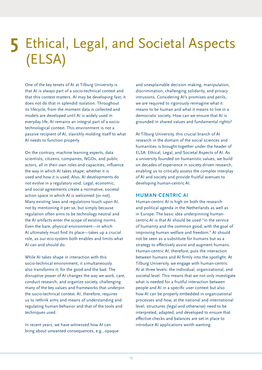## <span id="page-12-0"></span>5 Ethical, Legal, and Societal Aspects (ELSA)

One of the key tenets of AI at Tilburg University is that AI is always part of a socio-technical context and that this context matters. AI may be developing fast; it does not do that in splendid isolation. Throughout its lifecycle, from the moment data is collected and models are developed until AI is widely used in everyday life, AI remains an integral part of a sociotechnological context. This environment is not a passive recipient of AI, slavishly molding itself to what AI needs to function properly.

On the contrary, machine learning experts, data scientists, citizens, companies, NGOs, and public actors, all in their own roles and capacities, influence the way in which AI takes shape; whether it is used and how it is used. Also, AI developments do not evolve in a regulatory void. Legal, economic, and social agreements create a normative, societal action space in which AI is welcomed (or not). Many existing laws and regulations touch upon AI, not by mentioning it per se, but simply because regulation often aims to be technology neutral and the AI artifacts enter the scope of existing norms. Even the bare, physical environment––in which AI ultimately must find its place––takes up a crucial role, as our eco-system both enables and limits what AI can and should do.

While AI takes shape in interaction with this socio-technical environment, it simultaneously also transforms it; for the good and the bad. The disruptive power of AI changes the way we work, care, conduct research, and organize society, challenging many of the key values and frameworks that underpin the socio-technical context. AI, therefore, requires us to rethink aims and means of understanding and regulating human behavior and that of the tools and techniques used.

In recent years, we have witnessed how AI can bring about unwanted consequences, e.g., opaque and unexplainable decision making, manipulation, discrimination, challenging solidarity, and privacy intrusions. Considering AI's promises and perils, we are required to rigorously reimagine what it means to be human and what it means to live in a democratic society. How can we ensure that AI is grounded in shared values and fundamental rights?

At Tilburg University, this crucial branch of AI research in the domain of the social sciences and humanities is brought together under the header of ELSA: Ethical, Legal, and Societal Aspects of AI. As a university founded on humanistic values, we build on decades of experience in society-driven research, enabling us to critically assess the complex interplay of AI and society and provide fruitful avenues to developing human-centric AI.

#### **HUMAN-CENTRIC AI**

Human-centric AI is high on both the research and political agenda in the Netherlands as well as in Europe. The basic idea underpinning humancentric AI is that AI should be used "in the service of humanity and the common good, with the goal of improving human welfare and freedom." AI should not be seen as a substitute for humans but as a strategy to effectively assist and augment humans. Human-centric AI, therefore, puts the interaction between humans and AI firmly into the spotlight. At Tilburg University, we engage with human-centric AI at three levels: the individual, organizational, and societal level. This means that we not only investigate what is needed for a fruitful interaction between people and AI in a specific user context but also how AI can be properly embedded in organizational processes and how, at the national and international level, structures (legal and otherwise) need to be interpreted, adapted, and developed to ensure that effective checks and balances are set in place to introduce AI applications worth wanting.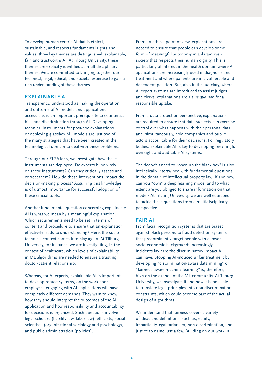To develop human-centric AI that is ethical, sustainable, and respects fundamental rights and values, three key themes are distinguished: explainable, fair, and trustworthy AI. At Tilburg University, these themes are explicitly identified as multidisciplinary themes. We are committed to bringing together our technical, legal, ethical, and societal expertise to gain a rich understanding of these themes.

#### **EXPLAINABLE AI**

Transparency, understood as making the operation and outcome of AI models and applications accessible, is an important prerequisite to counteract bias and discrimination through AI. Developing technical instruments for post-hoc explanations or deploying glassbox ML models are just two of the many strategies that have been created in the technological domain to deal with these problems.

Through our ELSA lens, we investigate how these instruments are deployed. Do experts blindly rely on these instruments? Can they critically assess and correct them? How do these interventions impact the decision-making process? Acquiring this knowledge is of utmost importance for successful adoption of these crucial tools.

Another fundamental question concerning explainable AI is what we mean by a meaningful explanation. Which requirements need to be set in terms of content and procedure to ensure that an explanation effectively leads to understanding? Here, the sociotechnical context comes into play again. At Tilburg University, for instance, we are investigating, in the context of healthcare, which levels of explainability in ML algorithms are needed to ensure a trusting doctor-patient relationship.

Whereas, for AI experts, explainable AI is important to develop robust systems, on the work floor, employees engaging with AI applications will have completely different demands. They want to know how they should interpret the outcomes of the AI application and how responsibility and accountability for decisions is organized. Such questions involve legal scholars (liability law, labor law), ethicists, social scientists (organizational sociology and psychology), and public administration (policies).

From an ethical point of view, explanations are needed to ensure that people can develop some form of meaningful autonomy in a data-driven society that respects their human dignity. This is particularly of interest in the health domain where AI applications are increasingly used in diagnosis and treatment and where patients are in a vulnerable and dependent position. But, also in the judiciary, where AI expert systems are introduced to assist judges and clerks, explanations are a *sine qua non* for a responsible uptake.

From a data protection perspective, explanations are required to ensure that data subjects can exercise control over what happens with their personal data and, simultaneously, hold companies and public actors accountable for their decisions. For regulatory bodies, explainable AI is key to developing meaningful oversight and auditable AI systems.

The deep-felt need to "open up the black box" is also intrinsically intertwined with fundamental questions in the domain of intellectual property law: If and how can you "own" a deep learning model and to what extent are you obliged to share information on that model? At Tilburg University, we are well equipped to tackle these questions from a multidisciplinary perspective.

#### **FAIR AI**

From facial recognition systems that are biased against black persons to fraud detection systems that predominantly target people with a lower socio-economic background: increasingly, incidents lay bare the discriminatory impact AI can have. Stopping AI-induced unfair treatment by developing "discrimination-aware data mining" or "fairness-aware machine learning" is, therefore, high on the agenda of the ML community. At Tilburg University, we investigate if and how it is possible to translate legal principles into non-discrimination constraints, which could become part of the actual design of algorithms.

We understand that fairness covers a variety of ideas and definitions, such as, equity, impartiality, egalitarianism, non-discrimination, and justice to name just a few. Building on our work in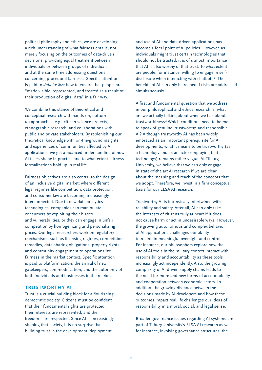political philosophy and ethics, we are developing a rich understanding of what fairness entails, not merely focusing on the outcomes of data-driven decisions, providing equal treatment between individuals or between groups of individuals, and at the same time addressing questions concerning procedural fairness. Specific attention is paid to *data justice:* how to ensure that people are "made visible, represented, and treated as a result of their production of digital data" in a fair way.

We combine this stance of theoretical and conceptual research with hands-on, bottomup approaches, e.g., citizen-science projects, ethnographic research, and collaborations with public and private stakeholders. By replenishing our theoretical knowledge with on-the-ground insights and experiences of communities affected by AI applications, we get a nuanced understanding of how AI takes shape in practice and to what extent fairness formalizations hold up in real life.

Fairness objectives are also central to the design of an inclusive digital market; where different legal regimes like competition, data protection, and consumer law are becoming increasingly interconnected. Due to new data analytics technologies, companies can manipulate consumers by exploiting their biases and vulnerabilities, or they can engage in unfair competition by homogenizing and personalizing prices. Our legal researchers work on regulatory mechanisms such as licensing regimes, competition remedies, data-sharing obligations, property rights, and community engagement to operationalize fairness in the market context. Specific attention is paid to platformization, the arrival of new gatekeepers, commodification, and the autonomy of both individuals and businesses in the market.

#### **TRUSTWORTHY AI**

Trust is a crucial building block for a flourishing democratic society. Citizens must be confident that their fundamental rights are protected, their interests are represented, and their freedoms are respected. Since AI is increasingly shaping that society, it is no surprise that building trust in the development, deployment,

and use of AI and data-driven applications has become a focal point of AI policies. However, as individuals might trust certain technologies that should not be trusted, it is of utmost importance that AI is also worthy of that trust. To what extent are people, for instance, willing to engage in selfdisclosure when interacting with chatbots? The benefits of AI can only be reaped if risks are addressed simultaneously.

A first and fundamental question that we address in our philosophical and ethics research is: what are we actually talking about when we talk about trustworthiness? Which conditions need to be met to speak of genuine, trustworthy, and responsible AI? Although trustworthy AI has been widely embraced as an important prerequisite for AI developments, what it means to be trustworthy (as a technology and as an actor employing that technology) remains rather vague. At Tilburg University, we believe that we can only engage in state-of-the art AI research if we are clear about the meaning and reach of the concepts that we adopt. Therefore, we invest in a firm conceptual basis for our ELSA AI research.

Trustworthy AI is intrinsically intertwined with reliability and safety. After all, AI can only take the interests of citizens truly at heart if it does not cause harm or act in undesirable ways. However, the growing autonomous and complex behavior of AI applications challenges our ability to maintain meaningful oversight and control. For instance, our philosophers explore how the use of AI tools in the military context interact with responsibility and accountability as these tools increasingly act independently. Also, the growing complexity of AI-driven supply chains leads to the need for more and new forms of accountability and cooperation between economic actors. In addition, the growing distance between the decisions made by AI developers and how these outcomes impact real life challenges our ideas of responsibility in a moral, social, and legal sense.

Broader governance issues regarding AI systems are part of Tilburg University's ELSA AI research as well, for instance, involving governance structures, the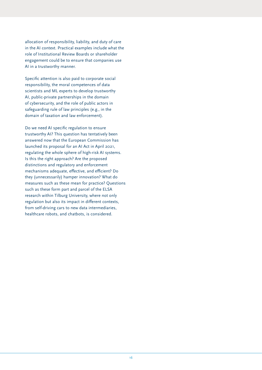allocation of responsibility, liability, and duty of care in the AI context. Practical examples include what the role of Institutional Review Boards or shareholder engagement could be to ensure that companies use AI in a trustworthy manner.

Specific attention is also paid to corporate social responsibility, the moral competences of data scientists and ML experts to develop trustworthy AI, public-private partnerships in the domain of cybersecurity, and the role of public actors in safeguarding rule of law principles (e.g., in the domain of taxation and law enforcement).

Do we need AI specific regulation to ensure trustworthy AI? This question has tentatively been answered now that the European Commission has launched its proposal for an AI Act in April 2021, regulating the whole sphere of high-risk AI systems. Is this the right approach? Are the proposed distinctions and regulatory and enforcement mechanisms adequate, effective, and efficient? Do they (unnecessarily) hamper innovation? What do measures such as these mean for practice? Questions such as these form part and parcel of the ELSA research within Tilburg University, where not only regulation but also its impact in different contexts, from self-driving cars to new data intermediaries, healthcare robots, and chatbots, is considered.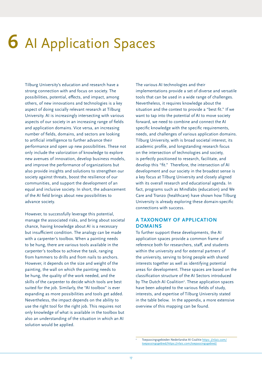# <span id="page-16-0"></span>**6** AI Application Spaces

Tilburg University's education and research have a strong connection with and focus on society. The possibilities, potential, effects, and impact, among others, of new innovations and technologies is a key aspect of doing socially relevant research at Tilburg University. AI is increasingly intersecting with various aspects of our society in an increasing range of fields and application domains. Vice versa, an increasing number of fields, domains, and sectors are looking to artificial intelligence to further advance their performance and open up new possibilities. These not only include the valorization of knowledge to explore new avenues of innovation, develop business models, and improve the performance of organizations but also provide insights and solutions to strengthen our society against threats, boost the resilience of our communities, and support the development of an equal and inclusive society. In short, the advancement of the AI field brings about new possibilities to advance society.

However, to successfully leverage this potential, manage the associated risks, and bring about societal chance, having knowledge about AI is a necessary but insufficient condition. The analogy can be made with a carpenter's toolbox. When a painting needs to be hung, there are various tools available in the carpenter's toolbox to achieve the task, ranging from hammers to drills and from nails to anchors. However, it depends on the size and weight of the painting, the wall on which the painting needs to be hung, the quality of the work needed, and the skills of the carpenter to decide which tools are best suited for the job. Similarly, the "AI toolbox" is ever expanding as more possibilities and tools get added. Nevertheless, the impact depends on the ability to use the right tool for the right job. This requires not only knowledge of what is available in the toolbox but also an understanding of the situation in which an AI solution would be applied.

The various AI technologies and their implementations provide a set of diverse and versatile tools that can be used in a wide range of challenges. Nevertheless, it requires knowledge about the situation and the context to provide a "best fit." If we want to tap into the potential of AI to move society forward, we need to combine and connect the AI specific knowledge with the specific requirements, needs, and challenges of various application domains. Tilburg University, with is broad societal interest, its academic profile, and longstanding research focus on the intersection of technologies and society, is perfectly positioned to research, facilitate, and develop this "fit." Therefore, the intersection of AI development and our society in the broadest sense is a key focus at Tilburg University and closely aligned with its overall research and educational agenda. In fact, programs such as Mindlabs (education) and We Care and Tranzo (healthcare) have shown how Tilburg University is already exploring these domain-specific connections with success.

#### **A TAXONOMY OF APPLICATION DOMAINS**

To further support these developments, the AI application spaces provide a common frame of reference both for researchers, staff, and students within the university and for external partners of the university, serving to bring people with shared interests together as well as identifying potential areas for development. These spaces are based on the classification structure of the AI Sectors introduced by The Dutch AI Coalition<sup>2</sup>. These application spaces have been adopted to the various fields of study, interests, and expertise of Tilburg University stated in the table below. In the appendix, a more extensive overview of this mapping can be found.

2 Toepassingsgebieden Nederlandse AI Coalitie [https: //nlaic.com/](https://nlaic.com/toepassingsgebied/) [toepassingsgebied/https://nlaic.com/toepassingsgebied/](https://nlaic.com/toepassingsgebied/)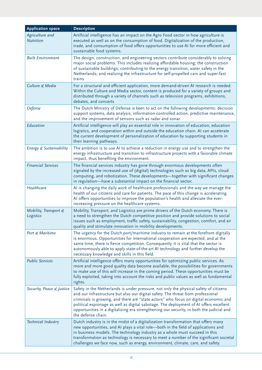| <b>Application space</b>            | <b>Description</b>                                                                                                                                                                                                                                                                                                                                                                                                                                                            |
|-------------------------------------|-------------------------------------------------------------------------------------------------------------------------------------------------------------------------------------------------------------------------------------------------------------------------------------------------------------------------------------------------------------------------------------------------------------------------------------------------------------------------------|
| Agriculture and<br><b>Nutrition</b> | Artificial intelligence has an impact on the Agro Food sector in how agriculture is<br>executed as well as on the consumption of food. Digitalization of the production,<br>trade, and consumption of food offers opportunities to use AI for more efficient and<br>sustainable food systems.                                                                                                                                                                                 |
| <b>Built Environment</b>            | The design, construction, and engineering sectors contribute considerably to solving<br>major social problems. This includes realizing affordable housing; the construction<br>of sustainable buildings; contributing to the energy transition; water safety in the<br>Netherlands; and realizing the infrastructure for self-propelled cars and super-fast<br>trains                                                                                                         |
| Culture & Media                     | For a structural and efficient application, more demand-driven AI research is needed.<br>Within the Culture and Media sector, content is produced for a variety of groups and<br>distributed through a variety of channels such as television programs, exhibitions,<br>debates, and concerts                                                                                                                                                                                 |
| Defense                             | The Dutch Ministry of Defense is keen to act on the following developments: decision<br>support systems, data analysis, information-controlled action, predictive maintenance,<br>and the improvement of sensors such as radar and sonar.                                                                                                                                                                                                                                     |
| Education                           | Artificial intelligence will play an essential role in innovation of education, education<br>logistics, and cooperation within and outside the education chain. AI can accelerate<br>the current development of personalization of education by supporting students in<br>their learning pathways.                                                                                                                                                                            |
| Energy & Sustainability             | The ambition is to use AI to achieve a reduction in energy use and to strengthen the<br>energy infrastructure and transition to infrastructure projects with a favorable climate<br>impact, thus benefiting the environment.                                                                                                                                                                                                                                                  |
| <b>Financial Services</b>           | The financial services industry has gone through enormous developments often<br>signaled by the increased use of (digital) technologies such as big data, APIs, cloud<br>computing, and robotization. These developments-together with significant changes<br>in regulation-have a substantial impact on the financial sector.                                                                                                                                                |
| Healthcare                          | AI is changing the daily work of healthcare professionals and the way we manage the<br>health of our citizens and care for patients. The pace of this change is accelerating.<br>AI offers opportunities to improve the population's health and alleviate the ever-<br>increasing pressure on the healthcare systems.                                                                                                                                                         |
| Mobility, Transport &<br>Logistics  | Mobility, Transport, and Logistics are prime drivers of the Dutch economy. There is<br>a need to strengthen the Dutch competitive position and provide solutions to social<br>issues such as employment, traffic safety, sustainability, congestion, comfort, and air<br>quality and stimulate innovation in mobility developments.                                                                                                                                           |
| Port & Maritime                     | The urgency for the Dutch port/maritime industry to remain at the forefront digitally<br>is enormous. Opportunities for international cooperation are expected, and at the<br>same time, there is fierce competition. Consequently, it is vital that the sector is<br>autonomously able to apply state-of-the-art AI technology and further develop the<br>necessary knowledge and skills in this field.                                                                      |
| <b>Public Services</b>              | Artificial intelligence offers many opportunities for optimizing public services. As<br>more and more good quality data become available, the possibilities for governments<br>to make use of this will increase in the coming period. These opportunities must be<br>fully exploited, taking into account the risks and public values as well as fundamental<br>rights.                                                                                                      |
| Security, Peace & Justice           | Safety in the Netherlands is under pressure, not only the physical safety of citizens<br>and our infrastructure but also our digital safety. The threat from professional<br>criminals is growing, and there are "state actors" who focus on digital economic and<br>political espionage as well as digital sabotage. The deployment of AI offers excellent<br>opportunities in a digitalizing era strengthening our security, in both the judicial and<br>the defense chain. |
| Technical Industry                  | Dutch industry is in the midst of a digitalization transformation that offers many<br>new opportunities, and AI plays a vital role-both in the field of applications and<br>in business models. The technology industry as a whole must succeed in this<br>transformation as technology is necessary to meet a number of the significant societal<br>challenges we face now, such as energy, environment, climate, care, and safety.                                          |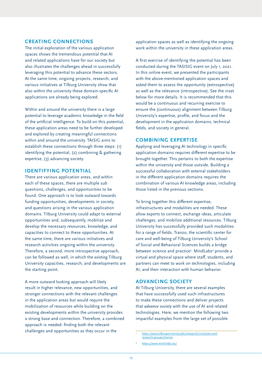#### **CREATING CONNECTIONS**

The initial exploration of the various application spaces shows the tremendous potential that AI and related applications have for our society but also illustrates the challenges ahead in successfully leveraging this potential to advance these sectors. At the same time, ongoing projects, research, and various initiatives at Tilburg University show that also within the university these domain-specific AI applications are already being explored.

Within and around the university there is a large potential to leverage academic knowledge in the field of the artificial intelligence. To build on this potential, these application areas need to be further developed and explored by creating meaningful connections within and around the university. TAISIG aims to establish these connections through three steps: (1) identifying the potential, (2) combining & gathering expertise, (3) advancing society.

#### **IDENTIFYING POTENTIAL**

There are various application areas, and within each of these spaces, there are multiple sub questions, challenges, and opportunities to be found. One approach is to look outward towards funding opportunities, developments in society, and questions arising in the various application domains. Tilburg University could adapt to external opportunities and, subsequently, mobilize and develop the necessary resources, knowledge, and capacities to connect to these opportunities. At the same time, there are various initiatives and research activities ongoing within the university. Therefore, a second, more introspective approach, can be followed as well, in which the *existing* Tilburg University capacities, research, and developments are the starting point.

A more outward looking approach will likely result in higher relevance, new opportunities, and stronger connections with the relevant challenges in the application areas but would require the mobilization of resources while building on the existing developments within the university provides a strong base and connection. Therefore, a combined approach is needed: finding both the relevant challenges and opportunities as they occur in the 3

application spaces as well as identifying the ongoing work within the university in these application areas.

A first exercise of identifying the potential has been conducted during the TASISIG event on July 1, 2021. In this online event, we presented the participants with the above-mentioned application spaces and asked them to assess the opportunity (extrospective) as well as the relevance (introspective). See the inset below for more details. It is recommended that this would be a continuous and recurring exercise to ensure the (continuous) alignment between Tilburg University's expertise, profile, and focus and the development in the application domains, technical fields, and society in general.

#### **COMBINING EXPERTISE**

Applying and leveraging AI technology in specific application domains requires different expertise to be brought together. This pertains to both the expertise within the university and those outside. Building a successful collaboration with external stakeholders in the different application domains requires the combination of various AI knowledge areas, including those listed in the previous sections.

To bring together this different expertise, infrastructures and modalities are needed. These allow experts to connect, exchange ideas, articulate challenges, and mobilize additional resources. Tilburg University has successfully provided such modalities for a range of fields. Tranzo, the scientific center for care and well-being of Tilburg University's School of Social and Behavioral Sciences builds a bridge between science and practice<sup>3</sup>. MindLabs<sup>4</sup> provide a virtual and physical space where staff, students, and partners can meet to work on technologies, including AI, and their interaction with human behavior.

#### **ADVANCING SOCIETY**

At Tilburg University, there are several examples that have successfully used such infrastructures to make these connections and deliver projects that *advance society* with the use of AI and related technologies. Here, we mention the following two impactful examples from the large set of possible

[https://www.tilburguniversity.edu/research/institutes-and](https://www.tilburguniversity.edu/research/institutes-and-research-groups/tranzo)[research-groups/tranzo](https://www.tilburguniversity.edu/research/institutes-and-research-groups/tranzo)

<https://www.mind-labs.eu/>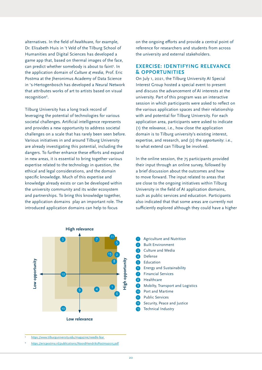alternatives. In the field of *healthcare,* for example, Dr. Elisabeth Huis in 't Veld of the Tilburg School of Humanities and Digital Sciences has developed a game app that, based on thermal images of the face, can predict whether somebody is about to faint<sup>5</sup>. In the application domain of *Culture & media,* Prof. Eric Postma at the Jheronimus Academy of Data Science in 's-Hertogenbosch has developed a Neural Network that attributes works of art to artists based on visual recognition<sup>6</sup>.

Tilburg University has a long track record of leveraging the potential of technologies for various societal challenges. Artificial intelligence represents and provides a new opportunity to address societal challenges on a scale that has rarely been seen before. Various initiatives in and around Tilburg University are already investigating this potential, including the dangers. To further enhance these efforts and expand in new areas, it is essential to bring together various expertise related to the technology in question, the ethical and legal considerations, and the domain specific knowledge. Much of this expertise and knowledge already exists or can be developed within the university community and its wider ecosystem and partnerships. To bring this knowledge together, the application domains play an important role. The introduced application domains can help to focus

on the ongoing efforts and provide a central point of reference for researchers and students from across the university and external stakeholders.

#### **EXERCISE: IDENTIFYING RELEVANCE & OPPORTUNITIES**

On July 1, 2021, the Tilburg University AI Special Interest Group hosted a special event to present and discuss the advancement of AI interests at the university. Part of this program was an interactive session in which participants were asked to reflect on the various application spaces and their relationship with and potential for Tilburg University. For each application area, participants were asked to indicate (1) the *relevance*, i.e., how close the application domain is to Tilburg university's existing interest, expertise, and research, and (2) the *opportunity*: i.e., to what extend can Tilburg be involved.

In the online session, the 75 participants provided their input through an online survey, followed by a brief discussion about the outcomes and how to move forward. The input related to areas that are close to the ongoing initiatives within Tilburg University in the field of AI application domains, such as public services and education. Participants also indicated that that some areas are currently not sufficiently explored although they could have a higher



https://www.tilburguniversity.edu/magazine/needle-fear

<https://ericpostma.nl/publications/NoordHendriksPostma2015.pdf>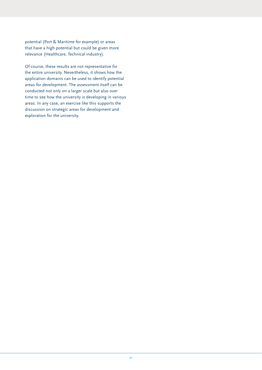potential (Port & Maritime for example) or areas that have a high potential but could be given more relevance (Healthcare, Technical industry).

Of course, these results are not representative for the entire university. Nevertheless, it shows how the application domains can be used to identify potential areas for development. The assessment itself can be conducted not only on a larger scale but also over time to see how the university is developing in various areas. In any case, an exercise like this supports the discussion on strategic areas for development and exploration for the university.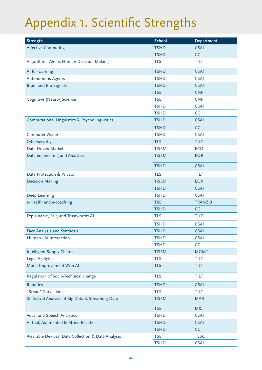## <span id="page-21-0"></span>Appendix 1. Scientific Strengths

| <b>Strength</b>                                   | <b>School</b> | <b>Department</b> |
|---------------------------------------------------|---------------|-------------------|
| <b>Affective Computing</b>                        | <b>TSHD</b>   | <b>CSAI</b>       |
|                                                   | <b>TSHD</b>   | CC                |
| Algorithms Versus Human Decision Making           | <b>TLS</b>    | <b>TILT</b>       |
| Al for Gaming                                     | <b>TSHD</b>   | <b>CSAI</b>       |
| Autonomous Agents                                 | <b>TSHD</b>   | <b>CSAI</b>       |
| <b>Brain and Bio-Signals</b>                      | <b>TSHD</b>   | <b>CSAI</b>       |
|                                                   | <b>TSB</b>    | <b>CNP</b>        |
| Cognitive (Neuro-) Science                        | <b>TSB</b>    | <b>CNP</b>        |
|                                                   | <b>TSHD</b>   | <b>CSAI</b>       |
|                                                   | <b>TSHD</b>   | CC                |
| Computational Linguistics & Psycholinguistics     | <b>TSHD</b>   | <b>CSAI</b>       |
|                                                   | <b>TSHD</b>   | CC                |
| <b>Computer Vision</b>                            | <b>TSHD</b>   | <b>CSAI</b>       |
| Cybersecurity                                     | <b>TLS</b>    | <b>TILT</b>       |
| Data-Driven Markets                               | <b>TiSEM</b>  | <b>ECO</b>        |
| Data-engineering and Analytics                    | <b>TiSEM</b>  | <b>EOR</b>        |
|                                                   | <b>TSHD</b>   | <b>CSAI</b>       |
| Data Protection & Privacy                         | <b>TLS</b>    | <b>TILT</b>       |
| <b>Decision Making</b>                            | <b>TiSEM</b>  | <b>EOR</b>        |
|                                                   | <b>TSHD</b>   | <b>CSAI</b>       |
| Deep Learning                                     | <b>TSHD</b>   | <b>CSAI</b>       |
| e-Health and e-coaching                           | <b>TSB</b>    | <b>TRANZO</b>     |
|                                                   | <b>TSHD</b>   | CC                |
| Explainable, Fair, and Trustworthy AI             | <b>TLS</b>    | <b>TILT</b>       |
|                                                   | <b>TSHD</b>   | <b>CSAI</b>       |
| Face Analysis and Synthesis                       | <b>TSHD</b>   | <b>CSAI</b>       |
| Human - Al Interaction                            | <b>TSHD</b>   | <b>CSAI</b>       |
|                                                   | <b>TSHD</b>   | CC                |
| <b>Intelligent Supply Chains</b>                  | <b>TiSEM</b>  | <b>MGMT</b>       |
| <b>Legal Analytics</b>                            | <b>TLS</b>    | <b>TILT</b>       |
| Moral Improvement With AI                         | <b>TLS</b>    | <b>TILT</b>       |
| Regulation of Socio-Technical change              | <b>TLS</b>    | <b>TILT</b>       |
| <b>Robotics</b>                                   | <b>TSHD</b>   | <b>CSAI</b>       |
| "Smart" Surveillance                              | <b>TLS</b>    | <b>TILT</b>       |
| Statistical Analysis of Big Data & Streaming Data | <b>TiSEM</b>  | <b>MAR</b>        |
|                                                   | <b>TSB</b>    | M&T               |
| Vocal and Speech Analytics                        | <b>TSHD</b>   | <b>CSAI</b>       |
| Virtual, Augmented & Mixed Reality                | <b>TSHD</b>   | <b>CSAI</b>       |
|                                                   | <b>TSHD</b>   | CC                |
| Wearable Devices: Data Collection & Data Analysis | <b>TSB</b>    | <b>TESC</b>       |
|                                                   | <b>TSHD</b>   | <b>CSAI</b>       |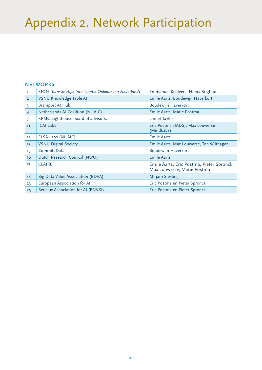## <span id="page-22-0"></span>Appendix 2. Network Participation

#### **NETWORKS**

| T.              | KION (Kunstmatige Intelligentie Opleidingen Nederland). | Emmanuel Keuleers, Henry Brighton                                       |
|-----------------|---------------------------------------------------------|-------------------------------------------------------------------------|
| $\overline{2}$  | VSNU Knowledge Table AI                                 | Emile Aarts, Boudewijn Haverkort                                        |
| 3               | <b>Brainport Al Hub</b>                                 | Boudewijn Haverkort                                                     |
| $\overline{4}$  | Netherlands AI Coalition (NL AIC)                       | Emile Aarts, Marie Postma                                               |
| 5               | KPMG Lighthouse board of advisors.                      | Linnet Taylor                                                           |
| 11              | <b>ICAI Labs</b>                                        | Eric Postma (JADS), Max Louwerse<br>(MindLabs)                          |
| 12              | ELSA Labs (NL AIC)                                      | <b>Emile Aarts</b>                                                      |
| 13              | <b>VSNU Digital Society</b>                             | Emile Aarts, Max Louwerse, Ton Wilthagen                                |
| 15 <sub>1</sub> | Commit <sub>2</sub> Data                                | Boudewijn Haverkort                                                     |
| 16              | Dutch Research Council (NWO)                            | <b>Emile Aarts</b>                                                      |
| 17              | <b>CLAIRE</b>                                           | Emile Aarts, Eric Postma, Pieter Spronck,<br>Max Louwerse, Marie Postma |
| 18              | Big Data Value Association (BDVA)                       | <b>Mirjam Siesling</b>                                                  |
| 23              | European Association for Al                             | Eric Postma en Pieter Spronck                                           |
| 25              | Benelux Association for AI (BNVKI)                      | Eric Postma en Pieter Spronck                                           |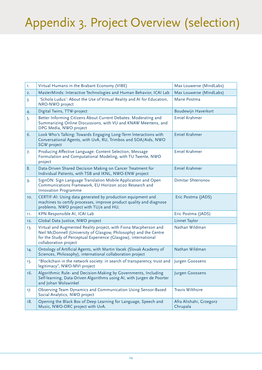## <span id="page-23-0"></span>Appendix 3. Project Overview (selection)

| 1.  | Virtual Humans in the Brabant Economy (VIBE)                                                                                                                                                                                      | Max Louwerse (MindLabs)             |
|-----|-----------------------------------------------------------------------------------------------------------------------------------------------------------------------------------------------------------------------------------|-------------------------------------|
| 2.  | MasterMinds: Interactive Technologies and Human Behavior, ICAI Lab                                                                                                                                                                | Max Louwerse (MindLabs)             |
| 3.  | 'Schola Ludus': About the Use of Virtual Reality and AI for Education,<br>NRO-NWO project                                                                                                                                         | Marie Postma                        |
| 4.  | Digital Twins, TTW-project                                                                                                                                                                                                        | Boudewijn Haverkort                 |
| 5.  | Better Informing Citizens About Current Debates: Moderating and<br>Summarizing Online Discussions, with VU and KNAW Meertens, and<br>DPG Media, NWO project                                                                       | Emiel Krahmer                       |
| 6.  | Look Who's Talking: Towards Engaging Long-Term Interactions with<br>Conversational Agents, with UvA, RU, Trimbos and SOA/Aids, NWO<br><b>SGW</b> project                                                                          | Emiel Krahmer                       |
| 7.  | Producing Affective Language: Content Selection, Message<br>Formulation and Computational Modeling, with TU Twente, NWO<br>project                                                                                                | Emiel Krahmer                       |
| 8.  | Data-Driven Shared Decision Making on Cancer Treatment for<br>Individual Patients, with TSB and IKNL, NWO-ENW project                                                                                                             | Emiel Krahmer                       |
| 9.  | SignON: Sign Language Translation Mobile Application and Open<br>Communications Framework, EU Horizon 2020 Research and<br><b>Innovation Programme</b>                                                                            | Dimitar Shterionov                  |
| 10. | CERTIF-AI: Using data generated by production equipment and<br>machines to certify processes, improve product quality and diagnose<br>problems. NWO project with TU/e and HU.                                                     | Eric Postma (JADS)                  |
| 11. | KPN Responsible AI, ICAI Lab                                                                                                                                                                                                      | Eric Postma (JADS)                  |
| 12. | Global Data Justice, NWO project                                                                                                                                                                                                  | Linnet Taylor                       |
| 13. | Virtual and Augmented Reality project, with Fiona Macpherson and<br>Neil McDonnell (University of Glasgow, Philosophy) and the Centre<br>for the Study of Perceptual Experience (Glasgow), international<br>collaboration project | Nathan Wildman                      |
| 14. | Ontology of Artificial Agents, with Martin Vacek (Slovak Academy of<br>Sciences, Philosophy), international collaboration project                                                                                                 | Nathan Wildman                      |
| 15. | "Blockchain in the network society: in search of transparency, trust and<br>legitimacy", NWO-MVI project                                                                                                                          | Jurgen Goossens                     |
| 16. | Algorithmic Rule- and Decision-Making by Governments, Including<br>Self-learning, Data-Driven Algorithms using AI, with Jurgen de Poorter<br>and Johan Wolswinkel                                                                 | Jurgen Goossens                     |
| 17. | Observing Team Dynamics and Communication Using Sensor-Based<br>Social Analytics, NWO project                                                                                                                                     | Travis Wilthsire                    |
| 18. | Opening the Black Box of Deep Learning for Language, Speech and<br>Music, NWO-ORC project with UvA.                                                                                                                               | Afra Alishahi, Grzegorz<br>Chrupala |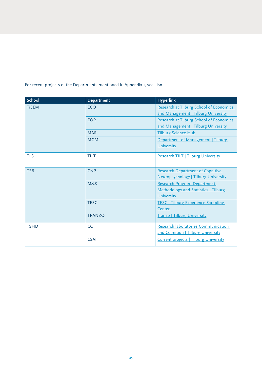| <b>School</b> | <b>Department</b> | <b>Hyperlink</b>                             |
|---------------|-------------------|----------------------------------------------|
| <b>TiSEM</b>  | <b>ECO</b>        | Research at Tilburg School of Economics      |
|               |                   | and Management   Tilburg University          |
|               | <b>EOR</b>        | Research at Tilburg School of Economics      |
|               |                   | and Management   Tilburg University          |
|               | <b>MAR</b>        | <b>Tilburg Science Hub</b>                   |
|               | <b>MGM</b>        | Department of Management   Tilburg           |
|               |                   | University                                   |
| <b>TLS</b>    | <b>TILT</b>       | Research TILT   Tilburg University           |
|               |                   |                                              |
| <b>TSB</b>    | <b>CNP</b>        | <b>Research Department of Cognitive</b>      |
|               |                   | Neuropsychology   Tilburg University         |
|               | M&S               | Research Program Department                  |
|               |                   | Methodology and Statistics   Tilburg         |
|               |                   | University                                   |
|               | <b>TESC</b>       | <b>TESC - Tilburg Experience Sampling</b>    |
|               |                   | Center                                       |
|               | <b>TRANZO</b>     | <b>Tranzo   Tilburg University</b>           |
| <b>TSHD</b>   | CC                | Research laboratories Communication          |
|               |                   | and Cognition   Tilburg University           |
|               | <b>CSAI</b>       | <b>Current projects   Tilburg University</b> |
|               |                   |                                              |

#### For recent projects of the Departments mentioned in Appendix 1, see also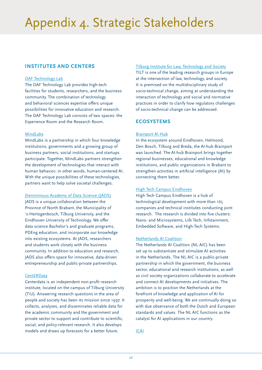### <span id="page-25-0"></span>Appendix 4. Strategic Stakeholders

#### **INSTITUTES AND CENTERS**

#### [DAF Technology Lab](https://www.tilburguniversity.edu/campus/experiencing-virtual-reality)

The DAF Technology Lab provides high-tech facilities for students, researchers, and the business community. The combination of technology and behavioral sciences expertise offers unique possibilities for innovative education and research. The DAF Technology Lab consists of two spaces: the Experience Room and the Research Room.

#### [MindLabs](http://www.mind-labs.eu/)

MindLabs is a partnership in which four knowledge institutions, governments and a growing group of business partners, social institutions, and startups participate. Together, MindLabs partners strengthen the development of technologies that interact with human behavior; in other words, human-centered AI. With the unique possibilities of these technologies, partners want to help solve societal challenges.

[Jheronimous Academy of Data Science \(JADS\)](https://www.jads.nl/)

JADS is a unique collaboration between the Province of North Brabant, the Municipality of 's-Hertogenbosch, Tilburg University, and the Eindhoven University of Technology. We offer data science Bachelor's and graduate programs, PDEng education, and incorporate our knowledge into existing ecosystems. At JADS, researchers and students work closely with the business community. In addition to education and research, JADS also offers space for innovative, data-driven entrepreneurship and public-private partnerships.

#### **[CentERData](http://www.centerdata.nl)**

Centerdata is an independent non-profit research institute, located on the campus of Tilburg University (TiU). Answering research questions in the area of people and society has been its mission since 1997. It collects, analyzes, and disseminates reliable data for the academic community and the government and private sector to support and contribute to scientific, social, and policy-relevant research. It also develops models and draws up forecasts for a better future.

[Tilburg Institute for Law, Technology and Society](http://www.tilt.nl) TILT is one of the leading research groups in Europe at the intersection of law, technology, and society. It is premised on the multidisciplinary study of socio-technical change, aiming at understanding the interaction of technology and social and normative practices in order to clarify how regulatory challenges of socio-technical change can be addressed.

#### **ECOSYSTEMS**

#### [Brainport AI Hub](https://brainporteindhoven.com/nl/nieuws/ai-hub-brainport-van-start)

In the ecosystem around Eindhoven, Helmond, Den Bosch, Tilburg and Breda, the AI-hub Brainport was launched. The AI-hub Brainport brings together regional businesses, educational and knowledge institutions, and public organizations in Brabant to strengthen activities in artificial intelligence (AI) by connecting them better.

#### [High Tech Campus Eindhoven](http://www.hightechcampus.com/)

High Tech Campus Eindhoven is a hub of technological development with more than 165 companies and technical institutes conducting joint research. The research is divided into five clusters: Nano- and Microsystems, Life Tech, Infotainment, Embedded Software, and High-Tech Systems.

#### [Netherlands AI Coalition](https://nlaic.com/)

The Netherlands AI Coalition (NL AIC) has been set up to substantiate and stimulate AI activities in the Netherlands. The NL AIC is a public-private partnership in which the government, the business sector, educational and research institutions, as well as civil society organizations collaborate to accelerate and connect AI developments and initiatives. The ambition is to position the Netherlands at the forefront of knowledge and application of AI for prosperity and well-being. We are continually doing so with due observance of both the Dutch and European standards and values. The NL AIC functions as the catalyst for AI applications in our country.

[ICAI](https://icai.ai)